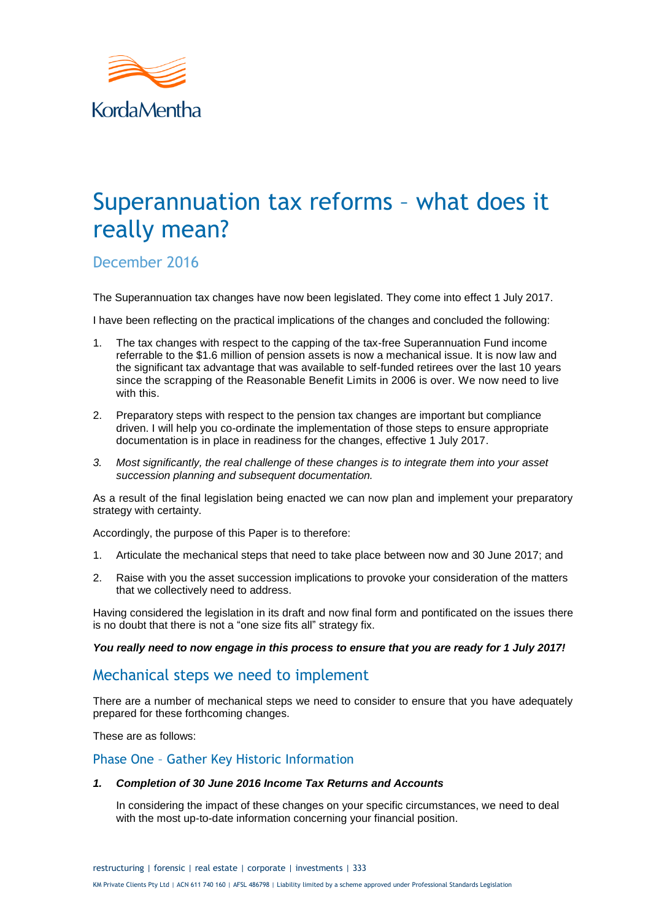

# Superannuation tax reforms – what does it really mean?

December 2016

The Superannuation tax changes have now been legislated. They come into effect 1 July 2017.

I have been reflecting on the practical implications of the changes and concluded the following:

- 1. The tax changes with respect to the capping of the tax-free Superannuation Fund income referrable to the \$1.6 million of pension assets is now a mechanical issue. It is now law and the significant tax advantage that was available to self-funded retirees over the last 10 years since the scrapping of the Reasonable Benefit Limits in 2006 is over. We now need to live with this.
- 2. Preparatory steps with respect to the pension tax changes are important but compliance driven. I will help you co-ordinate the implementation of those steps to ensure appropriate documentation is in place in readiness for the changes, effective 1 July 2017.
- *3. Most significantly, the real challenge of these changes is to integrate them into your asset succession planning and subsequent documentation.*

As a result of the final legislation being enacted we can now plan and implement your preparatory strategy with certainty.

Accordingly, the purpose of this Paper is to therefore:

- 1. Articulate the mechanical steps that need to take place between now and 30 June 2017; and
- 2. Raise with you the asset succession implications to provoke your consideration of the matters that we collectively need to address.

Having considered the legislation in its draft and now final form and pontificated on the issues there is no doubt that there is not a "one size fits all" strategy fix.

*You really need to now engage in this process to ensure that you are ready for 1 July 2017!* 

## Mechanical steps we need to implement

There are a number of mechanical steps we need to consider to ensure that you have adequately prepared for these forthcoming changes.

These are as follows:

#### Phase One – Gather Key Historic Information

#### *1. Completion of 30 June 2016 Income Tax Returns and Accounts*

In considering the impact of these changes on your specific circumstances, we need to deal with the most up-to-date information concerning your financial position.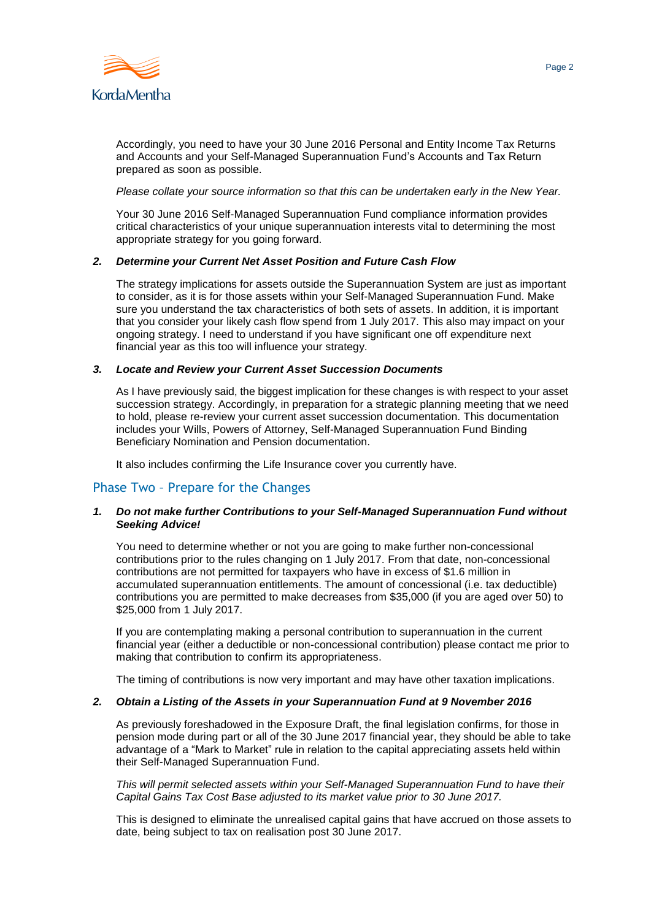

Accordingly, you need to have your 30 June 2016 Personal and Entity Income Tax Returns and Accounts and your Self-Managed Superannuation Fund's Accounts and Tax Return prepared as soon as possible.

*Please collate your source information so that this can be undertaken early in the New Year.* 

Your 30 June 2016 Self-Managed Superannuation Fund compliance information provides critical characteristics of your unique superannuation interests vital to determining the most appropriate strategy for you going forward.

#### *2. Determine your Current Net Asset Position and Future Cash Flow*

The strategy implications for assets outside the Superannuation System are just as important to consider, as it is for those assets within your Self-Managed Superannuation Fund. Make sure you understand the tax characteristics of both sets of assets. In addition, it is important that you consider your likely cash flow spend from 1 July 2017. This also may impact on your ongoing strategy. I need to understand if you have significant one off expenditure next financial year as this too will influence your strategy.

#### *3. Locate and Review your Current Asset Succession Documents*

As I have previously said, the biggest implication for these changes is with respect to your asset succession strategy. Accordingly, in preparation for a strategic planning meeting that we need to hold, please re-review your current asset succession documentation. This documentation includes your Wills, Powers of Attorney, Self-Managed Superannuation Fund Binding Beneficiary Nomination and Pension documentation.

It also includes confirming the Life Insurance cover you currently have.

## Phase Two – Prepare for the Changes

#### *1. Do not make further Contributions to your Self-Managed Superannuation Fund without Seeking Advice!*

You need to determine whether or not you are going to make further non-concessional contributions prior to the rules changing on 1 July 2017. From that date, non-concessional contributions are not permitted for taxpayers who have in excess of \$1.6 million in accumulated superannuation entitlements. The amount of concessional (i.e. tax deductible) contributions you are permitted to make decreases from \$35,000 (if you are aged over 50) to \$25,000 from 1 July 2017.

If you are contemplating making a personal contribution to superannuation in the current financial year (either a deductible or non-concessional contribution) please contact me prior to making that contribution to confirm its appropriateness.

The timing of contributions is now very important and may have other taxation implications.

#### *2. Obtain a Listing of the Assets in your Superannuation Fund at 9 November 2016*

As previously foreshadowed in the Exposure Draft, the final legislation confirms, for those in pension mode during part or all of the 30 June 2017 financial year, they should be able to take advantage of a "Mark to Market" rule in relation to the capital appreciating assets held within their Self-Managed Superannuation Fund.

*This will permit selected assets within your Self-Managed Superannuation Fund to have their Capital Gains Tax Cost Base adjusted to its market value prior to 30 June 2017.*

This is designed to eliminate the unrealised capital gains that have accrued on those assets to date, being subject to tax on realisation post 30 June 2017.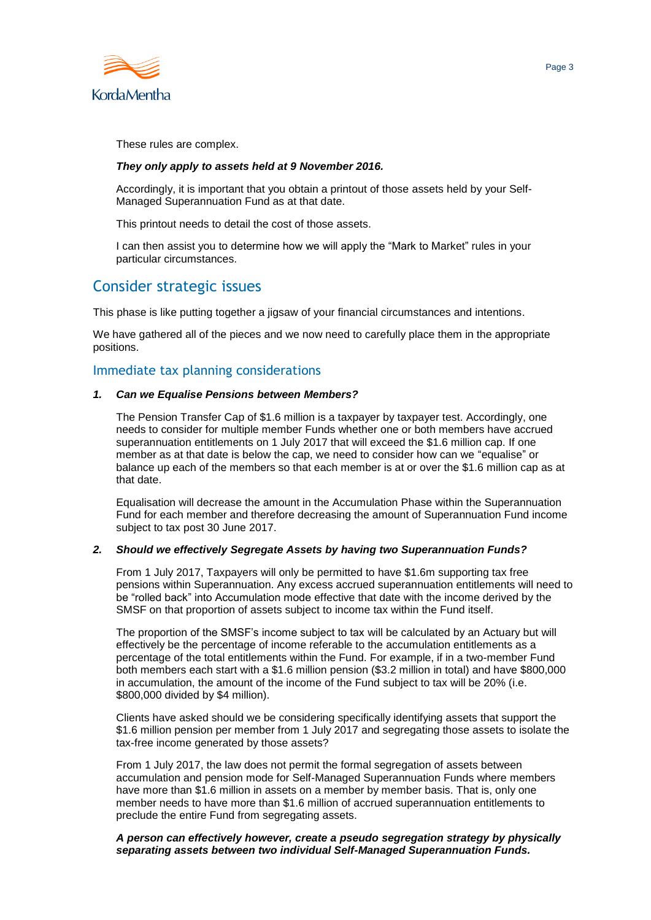

These rules are complex.

#### *They only apply to assets held at 9 November 2016.*

Accordingly, it is important that you obtain a printout of those assets held by your Self-Managed Superannuation Fund as at that date.

This printout needs to detail the cost of those assets.

I can then assist you to determine how we will apply the "Mark to Market" rules in your particular circumstances.

# Consider strategic issues

This phase is like putting together a jigsaw of your financial circumstances and intentions.

We have gathered all of the pieces and we now need to carefully place them in the appropriate positions.

## Immediate tax planning considerations

#### *1. Can we Equalise Pensions between Members?*

The Pension Transfer Cap of \$1.6 million is a taxpayer by taxpayer test. Accordingly, one needs to consider for multiple member Funds whether one or both members have accrued superannuation entitlements on 1 July 2017 that will exceed the \$1.6 million cap. If one member as at that date is below the cap, we need to consider how can we "equalise" or balance up each of the members so that each member is at or over the \$1.6 million cap as at that date.

Equalisation will decrease the amount in the Accumulation Phase within the Superannuation Fund for each member and therefore decreasing the amount of Superannuation Fund income subject to tax post 30 June 2017.

#### *2. Should we effectively Segregate Assets by having two Superannuation Funds?*

From 1 July 2017, Taxpayers will only be permitted to have \$1.6m supporting tax free pensions within Superannuation. Any excess accrued superannuation entitlements will need to be "rolled back" into Accumulation mode effective that date with the income derived by the SMSF on that proportion of assets subject to income tax within the Fund itself.

The proportion of the SMSF's income subject to tax will be calculated by an Actuary but will effectively be the percentage of income referable to the accumulation entitlements as a percentage of the total entitlements within the Fund. For example, if in a two-member Fund both members each start with a \$1.6 million pension (\$3.2 million in total) and have \$800,000 in accumulation, the amount of the income of the Fund subject to tax will be 20% (i.e. \$800,000 divided by \$4 million).

Clients have asked should we be considering specifically identifying assets that support the \$1.6 million pension per member from 1 July 2017 and segregating those assets to isolate the tax-free income generated by those assets?

From 1 July 2017, the law does not permit the formal segregation of assets between accumulation and pension mode for Self-Managed Superannuation Funds where members have more than \$1.6 million in assets on a member by member basis. That is, only one member needs to have more than \$1.6 million of accrued superannuation entitlements to preclude the entire Fund from segregating assets.

#### *A person can effectively however, create a pseudo segregation strategy by physically separating assets between two individual Self-Managed Superannuation Funds.*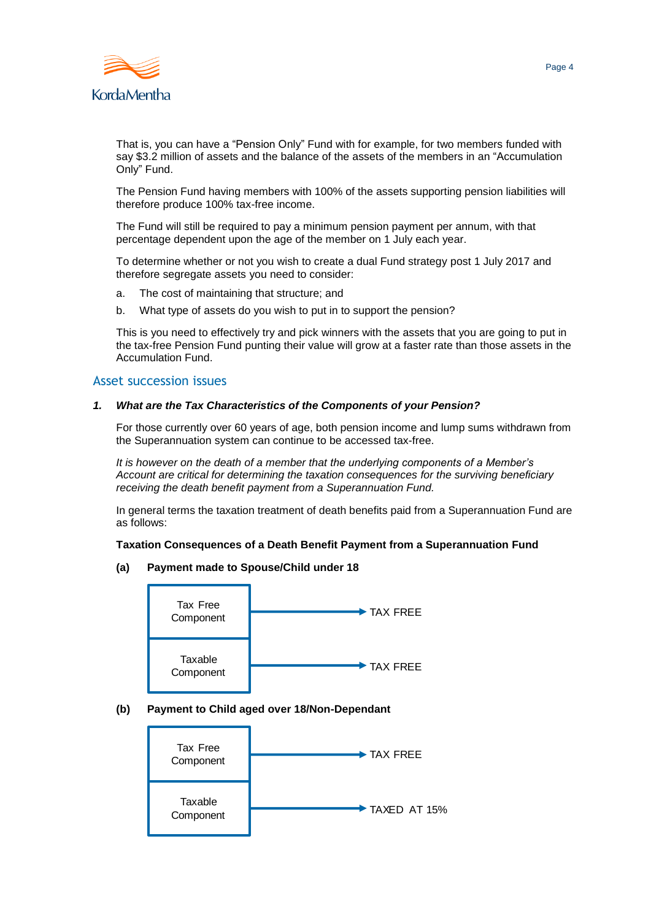

That is, you can have a "Pension Only" Fund with for example, for two members funded with say \$3.2 million of assets and the balance of the assets of the members in an "Accumulation Only" Fund.

The Pension Fund having members with 100% of the assets supporting pension liabilities will therefore produce 100% tax-free income.

The Fund will still be required to pay a minimum pension payment per annum, with that percentage dependent upon the age of the member on 1 July each year.

To determine whether or not you wish to create a dual Fund strategy post 1 July 2017 and therefore segregate assets you need to consider:

- a. The cost of maintaining that structure; and
- b. What type of assets do you wish to put in to support the pension?

This is you need to effectively try and pick winners with the assets that you are going to put in the tax-free Pension Fund punting their value will grow at a faster rate than those assets in the Accumulation Fund.

#### Asset succession issues

#### *1. What are the Tax Characteristics of the Components of your Pension?*

For those currently over 60 years of age, both pension income and lump sums withdrawn from the Superannuation system can continue to be accessed tax-free.

*It is however on the death of a member that the underlying components of a Member's Account are critical for determining the taxation consequences for the surviving beneficiary receiving the death benefit payment from a Superannuation Fund.* 

In general terms the taxation treatment of death benefits paid from a Superannuation Fund are as follows:

#### **Taxation Consequences of a Death Benefit Payment from a Superannuation Fund**

#### **(a) Payment made to Spouse/Child under 18**



#### **(b) Payment to Child aged over 18/Non-Dependant**

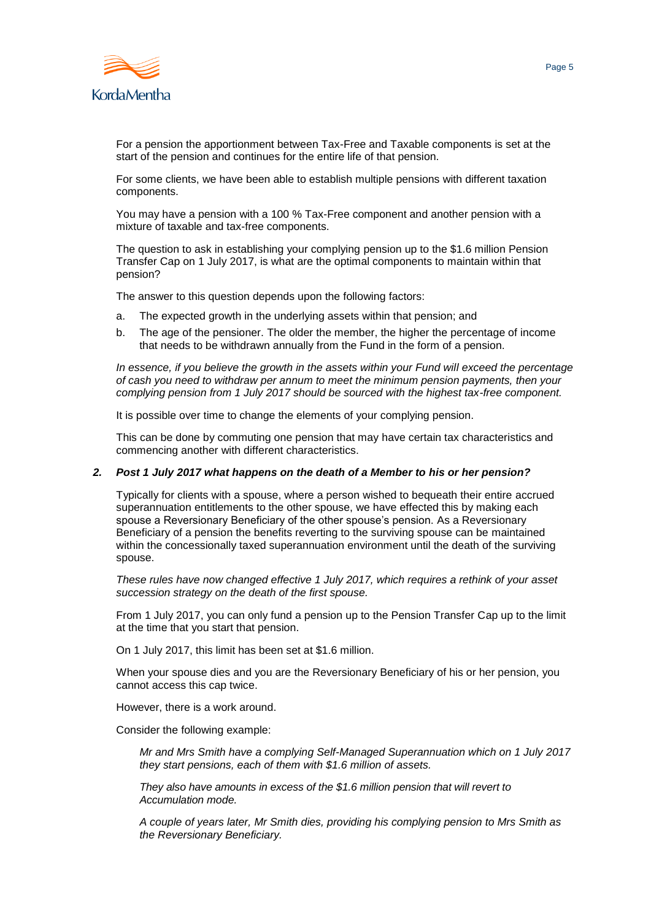

For a pension the apportionment between Tax-Free and Taxable components is set at the start of the pension and continues for the entire life of that pension.

For some clients, we have been able to establish multiple pensions with different taxation components.

You may have a pension with a 100 % Tax-Free component and another pension with a mixture of taxable and tax-free components.

The question to ask in establishing your complying pension up to the \$1.6 million Pension Transfer Cap on 1 July 2017, is what are the optimal components to maintain within that pension?

The answer to this question depends upon the following factors:

- a. The expected growth in the underlying assets within that pension; and
- b. The age of the pensioner. The older the member, the higher the percentage of income that needs to be withdrawn annually from the Fund in the form of a pension.

*In essence, if you believe the growth in the assets within your Fund will exceed the percentage of cash you need to withdraw per annum to meet the minimum pension payments, then your complying pension from 1 July 2017 should be sourced with the highest tax-free component.*

It is possible over time to change the elements of your complying pension.

This can be done by commuting one pension that may have certain tax characteristics and commencing another with different characteristics.

#### *2. Post 1 July 2017 what happens on the death of a Member to his or her pension?*

Typically for clients with a spouse, where a person wished to bequeath their entire accrued superannuation entitlements to the other spouse, we have effected this by making each spouse a Reversionary Beneficiary of the other spouse's pension. As a Reversionary Beneficiary of a pension the benefits reverting to the surviving spouse can be maintained within the concessionally taxed superannuation environment until the death of the surviving spouse.

*These rules have now changed effective 1 July 2017, which requires a rethink of your asset succession strategy on the death of the first spouse.* 

From 1 July 2017, you can only fund a pension up to the Pension Transfer Cap up to the limit at the time that you start that pension.

On 1 July 2017, this limit has been set at \$1.6 million.

When your spouse dies and you are the Reversionary Beneficiary of his or her pension, you cannot access this cap twice.

However, there is a work around.

Consider the following example:

*Mr and Mrs Smith have a complying Self-Managed Superannuation which on 1 July 2017 they start pensions, each of them with \$1.6 million of assets.*

*They also have amounts in excess of the \$1.6 million pension that will revert to Accumulation mode.*

*A couple of years later, Mr Smith dies, providing his complying pension to Mrs Smith as the Reversionary Beneficiary.*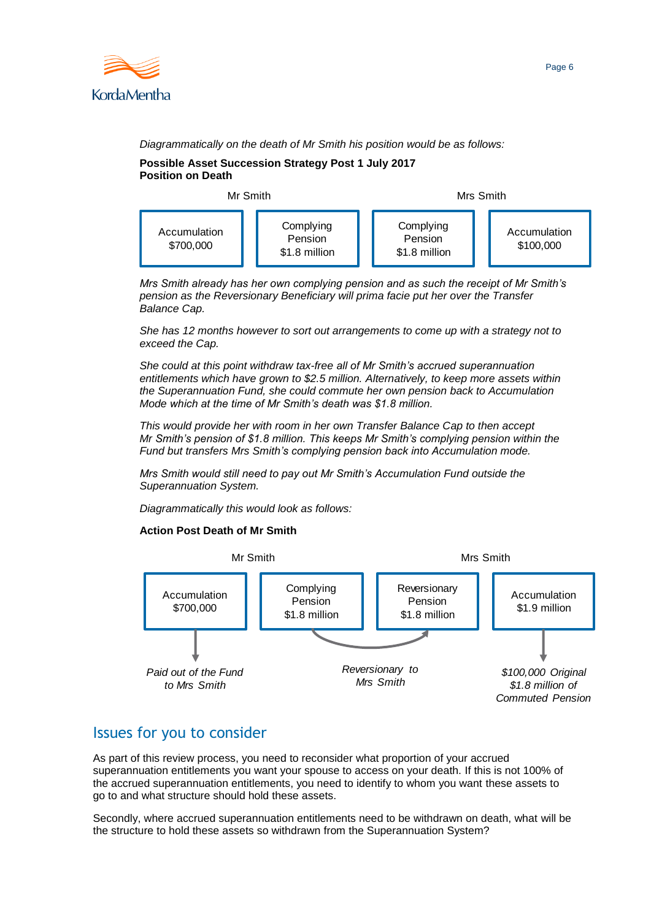

## *Diagrammatically on the death of Mr Smith his position would be as follows:*

#### **Possible Asset Succession Strategy Post 1 July 2017 Position on Death**



*Mrs Smith already has her own complying pension and as such the receipt of Mr Smith's pension as the Reversionary Beneficiary will prima facie put her over the Transfer Balance Cap.* 

*She has 12 months however to sort out arrangements to come up with a strategy not to exceed the Cap.* 

*She could at this point withdraw tax-free all of Mr Smith's accrued superannuation entitlements which have grown to \$2.5 million. Alternatively, to keep more assets within the Superannuation Fund, she could commute her own pension back to Accumulation Mode which at the time of Mr Smith's death was \$1.8 million.* 

*This would provide her with room in her own Transfer Balance Cap to then accept Mr Smith's pension of \$1.8 million. This keeps Mr Smith's complying pension within the Fund but transfers Mrs Smith's complying pension back into Accumulation mode.* 

*Mrs Smith would still need to pay out Mr Smith's Accumulation Fund outside the Superannuation System.* 

*Diagrammatically this would look as follows:*

#### **Action Post Death of Mr Smith**



# Issues for you to consider

As part of this review process, you need to reconsider what proportion of your accrued superannuation entitlements you want your spouse to access on your death. If this is not 100% of the accrued superannuation entitlements, you need to identify to whom you want these assets to go to and what structure should hold these assets.

Secondly, where accrued superannuation entitlements need to be withdrawn on death, what will be the structure to hold these assets so withdrawn from the Superannuation System?